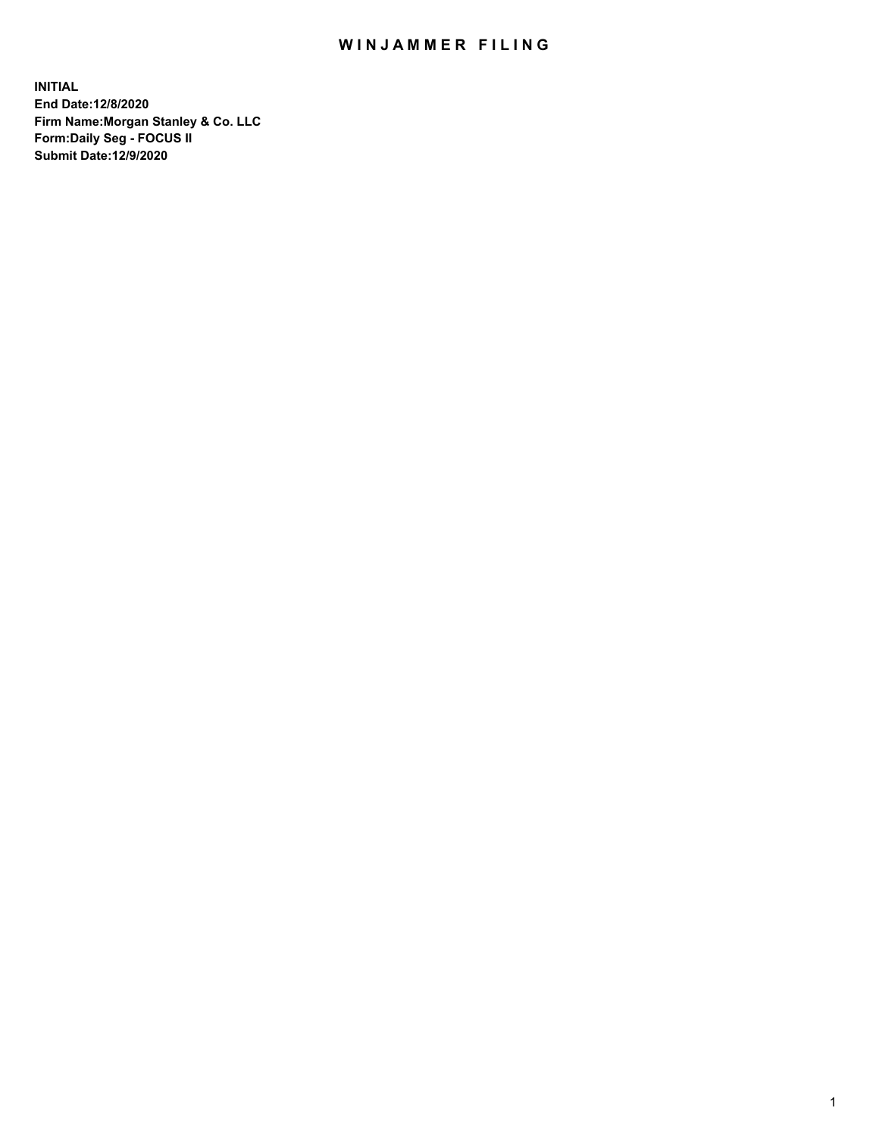## WIN JAMMER FILING

**INITIAL End Date:12/8/2020 Firm Name:Morgan Stanley & Co. LLC Form:Daily Seg - FOCUS II Submit Date:12/9/2020**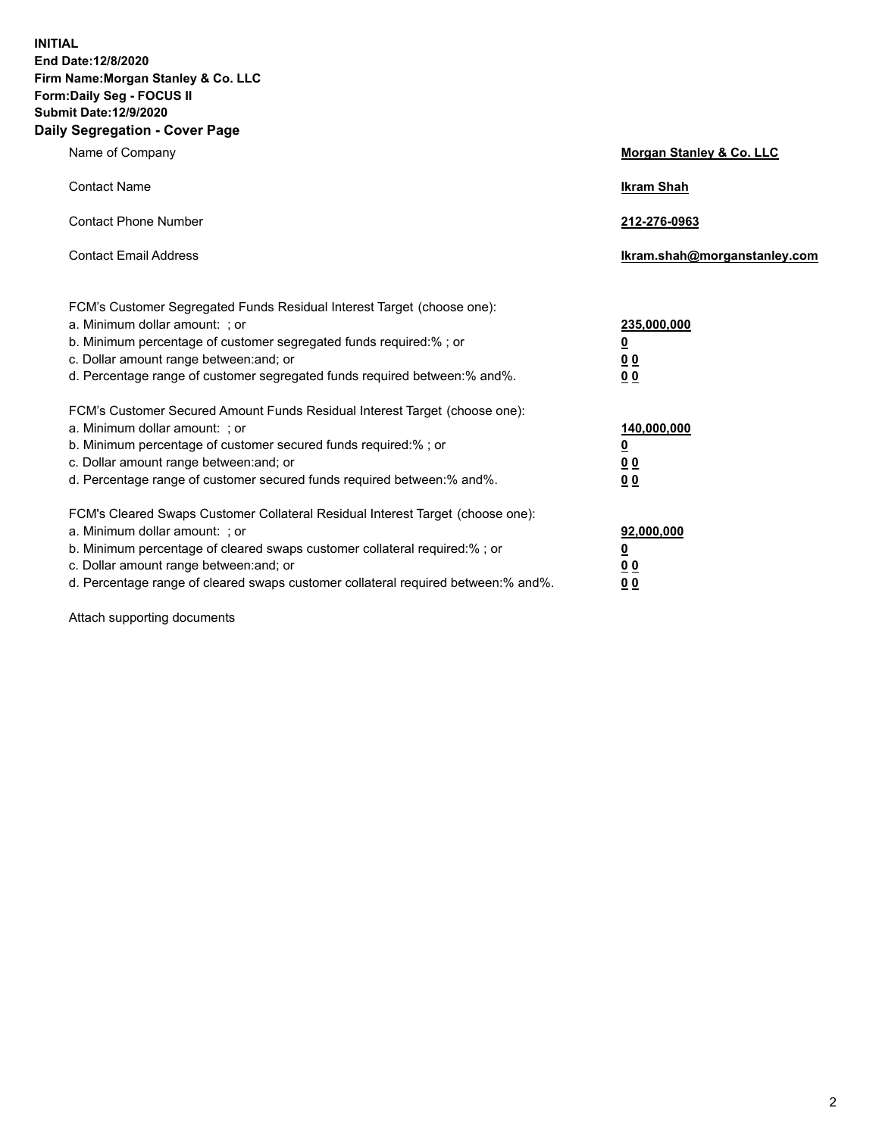**INITIAL End Date:12/8/2020 Firm Name:Morgan Stanley & Co. LLC Form:Daily Seg - FOCUS II Submit Date:12/9/2020 Daily Segregation - Cover Page**

| Name of Company                                                                                                                                                                                                                                                                                                                | Morgan Stanley & Co. LLC                                    |
|--------------------------------------------------------------------------------------------------------------------------------------------------------------------------------------------------------------------------------------------------------------------------------------------------------------------------------|-------------------------------------------------------------|
| <b>Contact Name</b>                                                                                                                                                                                                                                                                                                            | <b>Ikram Shah</b>                                           |
| <b>Contact Phone Number</b>                                                                                                                                                                                                                                                                                                    | 212-276-0963                                                |
| <b>Contact Email Address</b>                                                                                                                                                                                                                                                                                                   | Ikram.shah@morganstanley.com                                |
| FCM's Customer Segregated Funds Residual Interest Target (choose one):<br>a. Minimum dollar amount: ; or<br>b. Minimum percentage of customer segregated funds required:% ; or<br>c. Dollar amount range between: and; or<br>d. Percentage range of customer segregated funds required between:% and%.                         | 235,000,000<br><u>0</u><br>0 Q<br>0 <sub>0</sub>            |
| FCM's Customer Secured Amount Funds Residual Interest Target (choose one):<br>a. Minimum dollar amount: : or<br>b. Minimum percentage of customer secured funds required:%; or<br>c. Dollar amount range between: and; or<br>d. Percentage range of customer secured funds required between:% and%.                            | 140,000,000<br><u>0</u><br>0 <sub>0</sub><br>0 <sub>0</sub> |
| FCM's Cleared Swaps Customer Collateral Residual Interest Target (choose one):<br>a. Minimum dollar amount: ; or<br>b. Minimum percentage of cleared swaps customer collateral required:% ; or<br>c. Dollar amount range between: and; or<br>d. Percentage range of cleared swaps customer collateral required between:% and%. | 92,000,000<br><u>0</u><br>0 Q<br>0 <sub>0</sub>             |

Attach supporting documents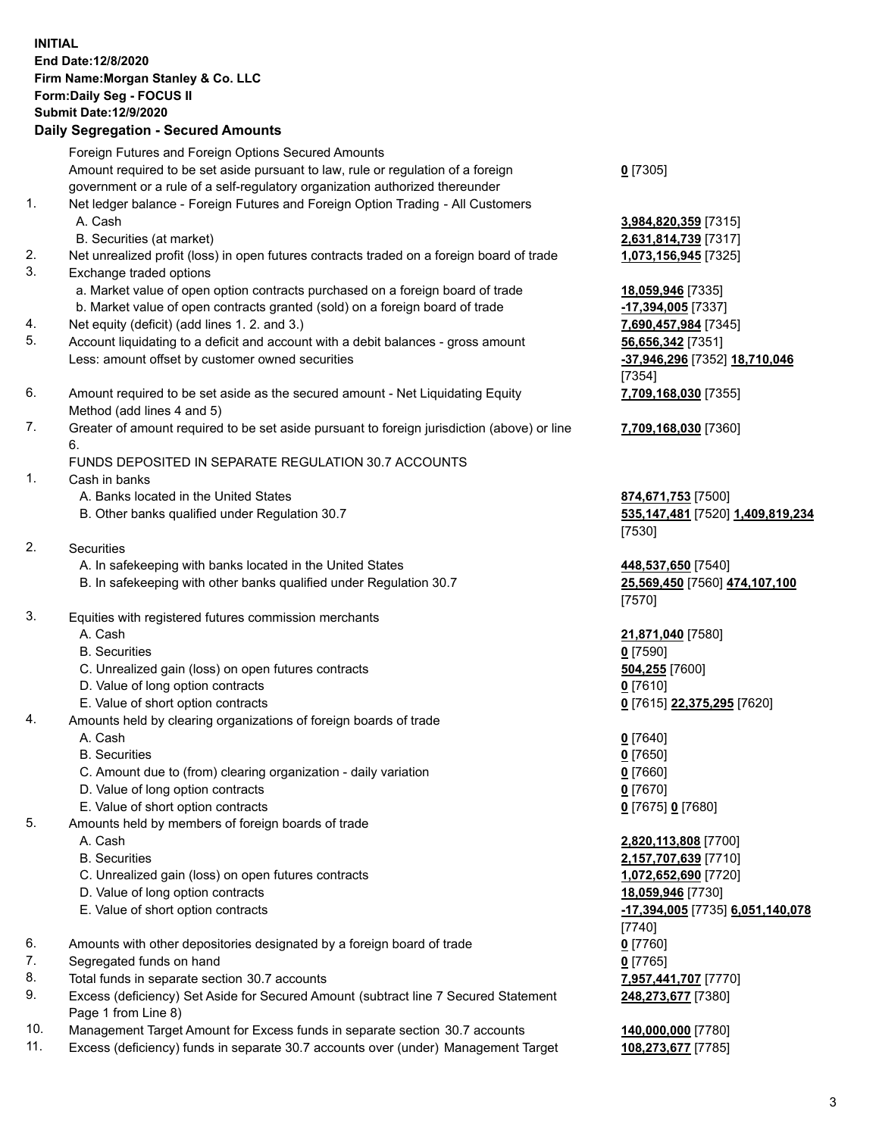## **INITIAL End Date:12/8/2020 Firm Name:Morgan Stanley & Co. LLC Form:Daily Seg - FOCUS II Submit Date:12/9/2020 Daily Segregation - Secured Amounts** Foreign Futures and Foreign Options Secured Amounts Amount required to be set aside pursuant to law, rule or regulation of a foreign government or a rule of a self-regulatory organization authorized thereunder **0** [7305] 1. Net ledger balance - Foreign Futures and Foreign Option Trading - All Customers A. Cash **3,984,820,359** [7315] B. Securities (at market) **2,631,814,739** [7317] 2. Net unrealized profit (loss) in open futures contracts traded on a foreign board of trade **1,073,156,945** [7325] 3. Exchange traded options a. Market value of open option contracts purchased on a foreign board of trade **18,059,946** [7335] b. Market value of open contracts granted (sold) on a foreign board of trade **-17,394,005** [7337] 4. Net equity (deficit) (add lines 1. 2. and 3.) **7,690,457,984** [7345] 5. Account liquidating to a deficit and account with a debit balances - gross amount **56,656,342** [7351] Less: amount offset by customer owned securities **-37,946,296** [7352] **18,710,046** [7354] 6. Amount required to be set aside as the secured amount - Net Liquidating Equity Method (add lines 4 and 5) **7,709,168,030** [7355] 7. Greater of amount required to be set aside pursuant to foreign jurisdiction (above) or line 6. **7,709,168,030** [7360] FUNDS DEPOSITED IN SEPARATE REGULATION 30.7 ACCOUNTS 1. Cash in banks A. Banks located in the United States **874,671,753** [7500] B. Other banks qualified under Regulation 30.7 **535,147,481** [7520] **1,409,819,234** [7530] 2. Securities A. In safekeeping with banks located in the United States **448,537,650** [7540] B. In safekeeping with other banks qualified under Regulation 30.7 **25,569,450** [7560] **474,107,100** [7570] 3. Equities with registered futures commission merchants A. Cash **21,871,040** [7580] B. Securities **0** [7590] C. Unrealized gain (loss) on open futures contracts **504,255** [7600] D. Value of long option contracts **0** [7610] E. Value of short option contracts **0** [7615] **22,375,295** [7620] 4. Amounts held by clearing organizations of foreign boards of trade A. Cash **0** [7640] B. Securities **0** [7650] C. Amount due to (from) clearing organization - daily variation **0** [7660] D. Value of long option contracts **0** [7670] E. Value of short option contracts **0** [7675] **0** [7680] 5. Amounts held by members of foreign boards of trade A. Cash **2,820,113,808** [7700] B. Securities **2,157,707,639** [7710] C. Unrealized gain (loss) on open futures contracts **1,072,652,690** [7720] D. Value of long option contracts **18,059,946** [7730] E. Value of short option contracts **-17,394,005** [7735] **6,051,140,078** [7740] 6. Amounts with other depositories designated by a foreign board of trade **0** [7760]

- 
- 7. Segregated funds on hand **0** [7765]
- 8. Total funds in separate section 30.7 accounts **7,957,441,707** [7770]
- 9. Excess (deficiency) Set Aside for Secured Amount (subtract line 7 Secured Statement Page 1 from Line 8)
- 10. Management Target Amount for Excess funds in separate section 30.7 accounts **140,000,000** [7780]
- 11. Excess (deficiency) funds in separate 30.7 accounts over (under) Management Target **108,273,677** [7785]

**248,273,677** [7380]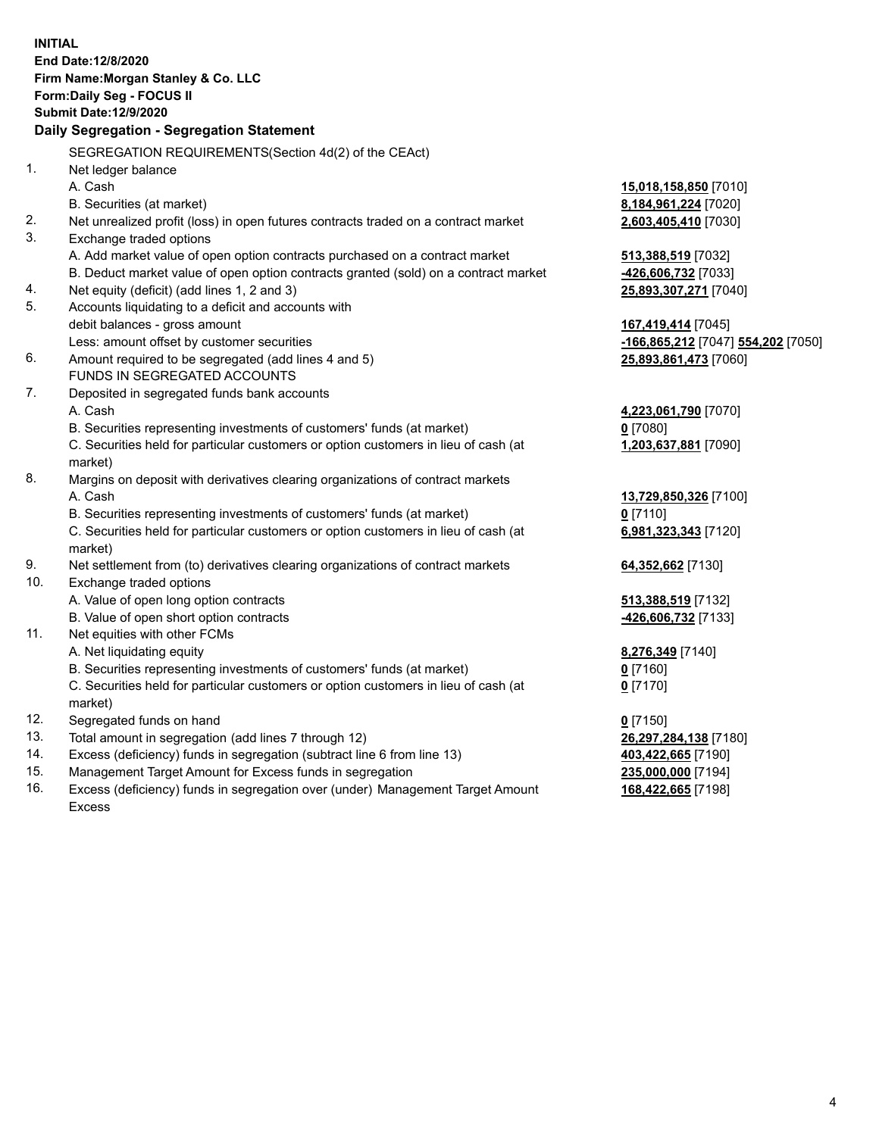|          | <b>INITIAL</b>                                                                      |                                     |  |  |  |  |
|----------|-------------------------------------------------------------------------------------|-------------------------------------|--|--|--|--|
|          | End Date: 12/8/2020                                                                 |                                     |  |  |  |  |
|          | Firm Name: Morgan Stanley & Co. LLC                                                 |                                     |  |  |  |  |
|          | Form: Daily Seg - FOCUS II                                                          |                                     |  |  |  |  |
|          | <b>Submit Date:12/9/2020</b>                                                        |                                     |  |  |  |  |
|          | Daily Segregation - Segregation Statement                                           |                                     |  |  |  |  |
|          |                                                                                     |                                     |  |  |  |  |
| 1.       | SEGREGATION REQUIREMENTS(Section 4d(2) of the CEAct)                                |                                     |  |  |  |  |
|          | Net ledger balance                                                                  |                                     |  |  |  |  |
|          | A. Cash                                                                             | 15,018,158,850 [7010]               |  |  |  |  |
| 2.       | B. Securities (at market)                                                           | 8,184,961,224 [7020]                |  |  |  |  |
| 3.       | Net unrealized profit (loss) in open futures contracts traded on a contract market  | 2,603,405,410 [7030]                |  |  |  |  |
|          | Exchange traded options                                                             |                                     |  |  |  |  |
|          | A. Add market value of open option contracts purchased on a contract market         | 513,388,519 [7032]                  |  |  |  |  |
|          | B. Deduct market value of open option contracts granted (sold) on a contract market | -426,606,732 [7033]                 |  |  |  |  |
| 4.<br>5. | Net equity (deficit) (add lines 1, 2 and 3)                                         | 25,893,307,271 [7040]               |  |  |  |  |
|          | Accounts liquidating to a deficit and accounts with                                 |                                     |  |  |  |  |
|          | debit balances - gross amount<br>Less: amount offset by customer securities         | 167,419,414 [7045]                  |  |  |  |  |
| 6.       | Amount required to be segregated (add lines 4 and 5)                                | -166,865,212 [7047] 554,202 [7050]  |  |  |  |  |
|          | FUNDS IN SEGREGATED ACCOUNTS                                                        | 25,893,861,473 [7060]               |  |  |  |  |
| 7.       | Deposited in segregated funds bank accounts                                         |                                     |  |  |  |  |
|          | A. Cash                                                                             | 4,223,061,790 [7070]                |  |  |  |  |
|          | B. Securities representing investments of customers' funds (at market)              | $0$ [7080]                          |  |  |  |  |
|          | C. Securities held for particular customers or option customers in lieu of cash (at | 1,203,637,881 [7090]                |  |  |  |  |
|          | market)                                                                             |                                     |  |  |  |  |
| 8.       | Margins on deposit with derivatives clearing organizations of contract markets      |                                     |  |  |  |  |
|          | A. Cash                                                                             |                                     |  |  |  |  |
|          | B. Securities representing investments of customers' funds (at market)              | 13,729,850,326 [7100]<br>$0$ [7110] |  |  |  |  |
|          | C. Securities held for particular customers or option customers in lieu of cash (at | 6,981,323,343 [7120]                |  |  |  |  |
|          | market)                                                                             |                                     |  |  |  |  |
| 9.       | Net settlement from (to) derivatives clearing organizations of contract markets     | 64,352,662 [7130]                   |  |  |  |  |
| 10.      | Exchange traded options                                                             |                                     |  |  |  |  |
|          | A. Value of open long option contracts                                              | 513,388,519 [7132]                  |  |  |  |  |
|          | B. Value of open short option contracts                                             | -426,606,732 [7133]                 |  |  |  |  |
| 11.      | Net equities with other FCMs                                                        |                                     |  |  |  |  |
|          | A. Net liquidating equity                                                           | 8,276,349 [7140]                    |  |  |  |  |
|          | B. Securities representing investments of customers' funds (at market)              | $0$ [7160]                          |  |  |  |  |
|          | C. Securities held for particular customers or option customers in lieu of cash (at | 0 <sup>[7170]</sup>                 |  |  |  |  |
|          | market)                                                                             |                                     |  |  |  |  |
| 12.      | Segregated funds on hand                                                            | $0$ [7150]                          |  |  |  |  |
| 13.      | Total amount in segregation (add lines 7 through 12)                                | 26,297,284,138 [7180]               |  |  |  |  |
| 14.      | Excess (deficiency) funds in segregation (subtract line 6 from line 13)             | 403,422,665 [7190]                  |  |  |  |  |
| 15.      | Management Target Amount for Excess funds in segregation                            | 235,000,000 [7194]                  |  |  |  |  |
| 16.      | Excess (deficiency) funds in segregation over (under) Management Target Amount      | 168,422,665 [7198]                  |  |  |  |  |

16. Excess (deficiency) funds in segregation over (under) Management Target Amount Excess